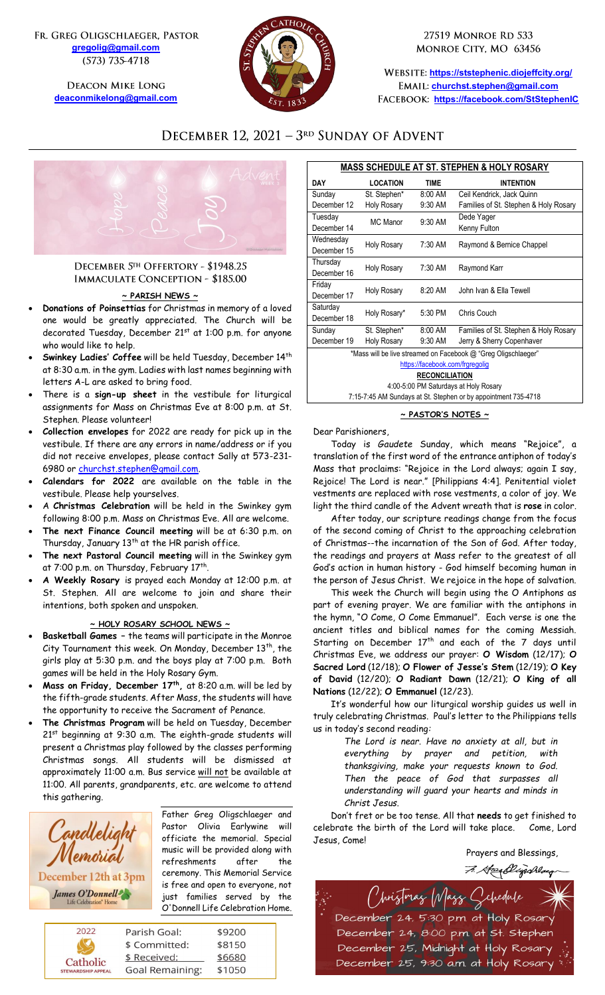FR. GREG OLIGSCHLAEGER, PASTOR **[gregolig@gmail.com](mailto:gregolig@gmail.com)** (573) 735-4718

> **DEACON MIKE LONG [deaconmikelong@gmail.com](mailto:deaconmikelong@gmail.com)**



27519 MONROE RD 533 MONROE CITY, MO 63456

**<https://ststephenic.diojeffcity.org/> [churchst.stephen@gmail.com](mailto:churchst.stephen@gmail.com) <https://facebook.com/StStephenIC>**

# DECEMBER 12, 2021 - 3RD SUNDAY OF ADVENT



# DECEMBER 5TH OFFERTORY - \$1948.25 **IMMACULATE CONCEPTION - \$185.00**

# **~ PARISH NEWS ~**

- **Donations of Poinsettias** for Christmas in memory of a loved one would be greatly appreciated. The Church will be decorated Tuesday, December 21<sup>st</sup> at 1:00 p.m. for anyone who would like to help.
- **Swinkey Ladies' Coffee** will be held Tuesday, December 14th at 8:30 a.m. in the gym. Ladies with last names beginning with letters A-L are asked to bring food.
- There is a **sign-up sheet** in the vestibule for liturgical assignments for Mass on Christmas Eve at 8:00 p.m. at St. Stephen. Please volunteer!
- **Collection envelopes** for 2022 are ready for pick up in the vestibule. If there are any errors in name/address or if you did not receive envelopes, please contact Sally at 573-231- 6980 or [churchst.stephen@gmail.com.](mailto:churchst.stephen@gmail.com)
- **Calendars for 2022** are available on the table in the vestibule. Please help yourselves.
- A **Christmas Celebration** will be held in the Swinkey gym following 8:00 p.m. Mass on Christmas Eve. All are welcome.
- **The next Finance Council meeting** will be at 6:30 p.m. on Thursday, January 13<sup>th</sup> at the HR parish office.
- **The next Pastoral Council meeting** will in the Swinkey gym at 7:00 p.m. on Thursday, February 17<sup>th</sup>.
- **A Weekly Rosary** is prayed each Monday at 12:00 p.m. at St. Stephen. All are welcome to join and share their intentions, both spoken and unspoken.

# **~ HOLY ROSARY SCHOOL NEWS ~**

- **Basketball Games –** the teams will participate in the Monroe City Tournament this week. On Monday, December  $13^{th}$ , the girls play at 5:30 p.m. and the boys play at 7:00 p.m. Both games will be held in the Holy Rosary Gym.
- **Mass on Friday, December 17th ,** at 8:20 a.m. will be led by the fifth-grade students. After Mass, the students will have the opportunity to receive the Sacrament of Penance.
- **The Christmas Program** will be held on Tuesday, December 21st beginning at 9:30 a.m. The eighth-grade students will present a Christmas play followed by the classes performing Christmas songs. All students will be dismissed at approximately 11:00 a.m. Bus service will not be available at 11:00. All parents, grandparents, etc. are welcome to attend this gathering.



Father Greg Oligschlaeger and Pastor Olivia Earlywine will officiate the memorial. Special music will be provided along with refreshments after the ceremony. This Memorial Service is free and open to everyone, not just families served by the O'Donnell Life Celebration Home.

| 2022                                  | Parish Goal:           | \$9200 |
|---------------------------------------|------------------------|--------|
|                                       | \$ Committed:          | \$8150 |
| Catholic<br><b>STEWARDSHIP APPEAL</b> | \$ Received:           | \$6680 |
|                                       | <b>Goal Remaining:</b> | \$1050 |

| <b>MASS SCHEDULE AT ST. STEPHEN &amp; HOLY ROSARY</b>          |                    |             |                                       |  |
|----------------------------------------------------------------|--------------------|-------------|---------------------------------------|--|
| <b>DAY</b>                                                     | <b>LOCATION</b>    | <b>TIME</b> | <b>INTENTION</b>                      |  |
| Sunday                                                         | St. Stephen*       | 8:00 AM     | Ceil Kendrick, Jack Quinn             |  |
| December 12                                                    | Holy Rosary        | 9:30 AM     | Families of St. Stephen & Holy Rosary |  |
| Tuesday                                                        | MC Manor           | 9:30 AM     | Dede Yager                            |  |
| December 14                                                    |                    |             | Kenny Fulton                          |  |
| Wednesday                                                      |                    | 7:30 AM     |                                       |  |
| December 15                                                    | <b>Holy Rosary</b> |             | Raymond & Bernice Chappel             |  |
| Thursday                                                       | Holy Rosary        | 7:30 AM     | Raymond Karr                          |  |
| December 16                                                    |                    |             |                                       |  |
| Friday                                                         | Holy Rosary        | 8:20 AM     | John Ivan & Ella Tewell               |  |
| December 17                                                    |                    |             |                                       |  |
| Saturday                                                       | Holy Rosary*       | 5:30 PM     | Chris Couch                           |  |
| December 18                                                    |                    |             |                                       |  |
| Sunday                                                         | St. Stephen*       | 8:00 AM     | Families of St. Stephen & Holy Rosary |  |
| December 19                                                    | <b>Holy Rosary</b> | 9:30 AM     | Jerry & Sherry Copenhaver             |  |
| *Mass will be live streamed on Facebook @ "Greg Oligschlaeger" |                    |             |                                       |  |
| https://facebook.com/frgregolig                                |                    |             |                                       |  |
| RECONCILIATION                                                 |                    |             |                                       |  |
| A.00-5.00 PM Saturdave at Holy Posary                          |                    |             |                                       |  |

4:00-5:00 PM Saturdays at Holy Rosary 7:15-7:45 AM Sundays at St. Stephen or by appointment 735-4718

### **~ PASTOR'S NOTES ~**

# Dear Parishioners,

Today is *Gaudete* Sunday, which means "Rejoice", a translation of the first word of the entrance antiphon of today's Mass that proclaims: "Rejoice in the Lord always; again I say, Rejoice! The Lord is near." [Philippians 4:4]. Penitential violet vestments are replaced with rose vestments, a color of joy. We light the third candle of the Advent wreath that is **rose** in color.

After today, our scripture readings change from the focus of the second coming of Christ to the approaching celebration of Christmas--the incarnation of the Son of God. After today, the readings and prayers at Mass refer to the greatest of all God's action in human history - God himself becoming human in the person of Jesus Christ. We rejoice in the hope of salvation.

This week the Church will begin using the O Antiphons as part of evening prayer. We are familiar with the antiphons in the hymn, "O Come, O Come Emmanuel". Each verse is one the ancient titles and biblical names for the coming Messiah. Starting on December  $17<sup>th</sup>$  and each of the 7 days until Christmas Eve, we address our prayer: **O Wisdom** (12/17); **O Sacred Lord** (12/18); **O Flower of Jesse's Stem** (12/19); **O Key of David** (12/20); **O Radiant Dawn** (12/21); **O King of all Nations** (12/22); **O Emmanuel** (12/23).

It's wonderful how our liturgical worship guides us well in truly celebrating Christmas. Paul's letter to the Philippians tells us in today's second reading*:* 

> *The Lord is near. Have no anxiety at all, but in everything by prayer and petition, with thanksgiving, make your requests known to God. Then the peace of God that surpasses all understanding will guard your hearts and minds in Christ Jesus.*

Don't fret or be too tense. All that **needs** to get finished to celebrate the birth of the Lord will take place. Come, Lord Jesus, Come!

> Prayers and Blessings,Heenblyschlaug